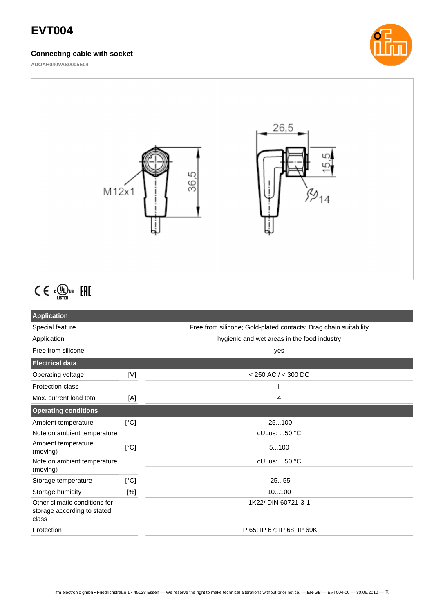# **EVT004**

### **Connecting cable with socket**

**ADOAH040VAS0005E04**





# $C \in \mathbb{C}^{\text{op}}_{\text{LISTED}}$  EHI

| <b>Application</b>                   |      |                                                                  |
|--------------------------------------|------|------------------------------------------------------------------|
| Special feature                      |      | Free from silicone; Gold-plated contacts; Drag chain suitability |
| Application                          |      | hygienic and wet areas in the food industry                      |
| Free from silicone                   |      | yes                                                              |
| <b>Electrical data</b>               |      |                                                                  |
| Operating voltage                    | [V]  | $<$ 250 AC $/$ < 300 DC                                          |
| <b>Protection class</b>              |      | Ш                                                                |
| Max. current load total              | [A]  | 4                                                                |
| <b>Operating conditions</b>          |      |                                                                  |
| Ambient temperature                  | [°C] | $-25100$                                                         |
| Note on ambient temperature          |      | cULus: 50 °C                                                     |
| Ambient temperature<br>(moving)      | [°C] | 5100                                                             |
| Note on ambient temperature          |      | cULus: 50 °C                                                     |
| (moving)                             |      |                                                                  |
| Storage temperature                  | [°C] | $-2555$                                                          |
| Storage humidity                     | [%]  | 10100                                                            |
| Other climatic conditions for        |      | 1K22/ DIN 60721-3-1                                              |
| storage according to stated<br>class |      |                                                                  |
| Protection                           |      | IP 65; IP 67; IP 68; IP 69K                                      |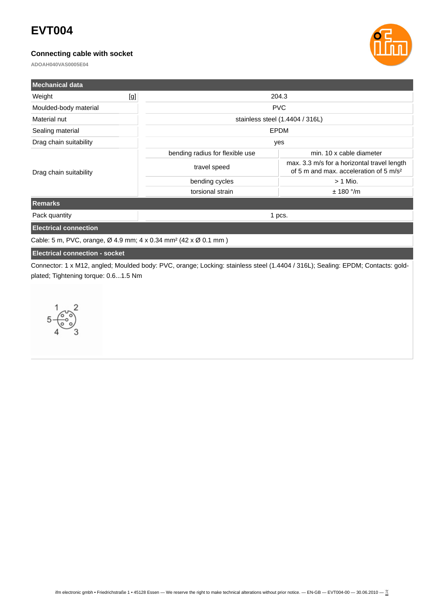## **EVT004**

## **Connecting cable with socket**

**ADOAH040VAS0005E04**



| <b>Mechanical data</b>       |     |                                 |                                                                                                   |  |
|------------------------------|-----|---------------------------------|---------------------------------------------------------------------------------------------------|--|
| Weight                       | [g] | 204.3                           |                                                                                                   |  |
| Moulded-body material        |     |                                 | <b>PVC</b>                                                                                        |  |
| Material nut                 |     | stainless steel (1.4404 / 316L) |                                                                                                   |  |
| Sealing material             |     |                                 | <b>EPDM</b>                                                                                       |  |
| Drag chain suitability       |     | yes                             |                                                                                                   |  |
| Drag chain suitability       |     | bending radius for flexible use | min. 10 x cable diameter                                                                          |  |
|                              |     | travel speed                    | max. 3.3 m/s for a horizontal travel length<br>of 5 m and max. acceleration of 5 m/s <sup>2</sup> |  |
|                              |     | bending cycles                  | $> 1$ Mio.                                                                                        |  |
|                              |     | torsional strain                | $± 180$ °/m                                                                                       |  |
| <b>Remarks</b>               |     |                                 |                                                                                                   |  |
| Pack quantity                |     | 1 pcs.                          |                                                                                                   |  |
| <b>Electrical connection</b> |     |                                 |                                                                                                   |  |

Cable: 5 m, PVC, orange, Ø 4.9 mm; 4 x 0.34 mm² (42 x Ø 0.1 mm )

### **Electrical connection - socket**

Connector: 1 x M12, angled; Moulded body: PVC, orange; Locking: stainless steel (1.4404 / 316L); Sealing: EPDM; Contacts: goldplated; Tightening torque: 0.6...1.5 Nm